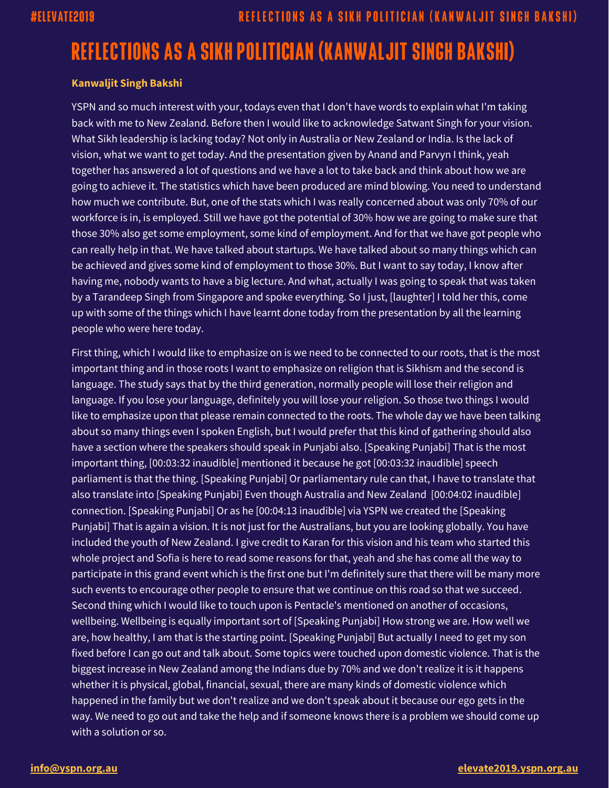## **REFLECTIONS AS A SIKH POLITICIAN (KANWALJIT SINGH BAKSHI)**

## **Kanwaljit Singh Bakshi**

YSPN and so much interest with your, todays even that I don't have words to explain what I'm taking back with me to New Zealand. Before then I would like to acknowledge Satwant Singh for your vision. What Sikh leadership is lacking today? Not only in Australia or New Zealand or India. Is the lack of vision, what we want to get today. And the presentation given by Anand and Parvyn I think, yeah together has answered a lot of questions and we have a lot to take back and think about how we are going to achieve it. The statistics which have been produced are mind blowing. You need to understand how much we contribute. But, one of the stats which I was really concerned about was only 70% of our workforce is in, is employed. Still we have got the potential of 30% how we are going to make sure that those 30% also get some employment, some kind of employment. And for that we have got people who can really help in that. We have talked about startups. We have talked about so many things which can be achieved and gives some kind of employment to those 30%. But I want to say today, I know after having me, nobody wants to have a big lecture. And what, actually I was going to speak that was taken by a Tarandeep Singh from Singapore and spoke everything. So I just, [laughter] I told her this, come up with some of the things which I have learnt done today from the presentation by all the learning people who were here today.

First thing, which I would like to emphasize on is we need to be connected to our roots, that is the most important thing and in those roots I want to emphasize on religion that is Sikhism and the second is language. The study says that by the third generation, normally people will lose their religion and language. If you lose your language, definitely you will lose your religion. So those two things I would like to emphasize upon that please remain connected to the roots. The whole day we have been talking about so many things even I spoken English, but I would prefer that this kind of gathering should also have a section where the speakers should speak in Punjabi also. [Speaking Punjabi] That is the most important thing, [00:03:32 inaudible] mentioned it because he got [00:03:32 inaudible] speech parliament is that the thing. [Speaking Punjabi] Or parliamentary rule can that, I have to translate that also translate into [Speaking Punjabi] Even though Australia and New Zealand [00:04:02 inaudible] connection. [Speaking Punjabi] Or as he [00:04:13 inaudible] via YSPN we created the [Speaking Punjabi] That is again a vision. It is not just for the Australians, but you are looking globally. You have included the youth of New Zealand. I give credit to Karan for this vision and his team who started this whole project and Sofia is here to read some reasons for that, yeah and she has come all the way to participate in this grand event which is the first one but I'm definitely sure that there will be many more such events to encourage other people to ensure that we continue on this road so that we succeed. Second thing which I would like to touch upon is Pentacle's mentioned on another of occasions, wellbeing. Wellbeing is equally important sort of [Speaking Punjabi] How strong we are. How well we are, how healthy, I am that is the starting point. [Speaking Punjabi] But actually I need to get my son fixed before I can go out and talk about. Some topics were touched upon domestic violence. That is the biggest increase in New Zealand among the Indians due by 70% and we don't realize it is it happens whether it is physical, global, financial, sexual, there are many kinds of domestic violence which happened in the family but we don't realize and we don't speak about it because our ego gets in the way. We need to go out and take the help and if someone knows there is a problem we should come up with a solution or so.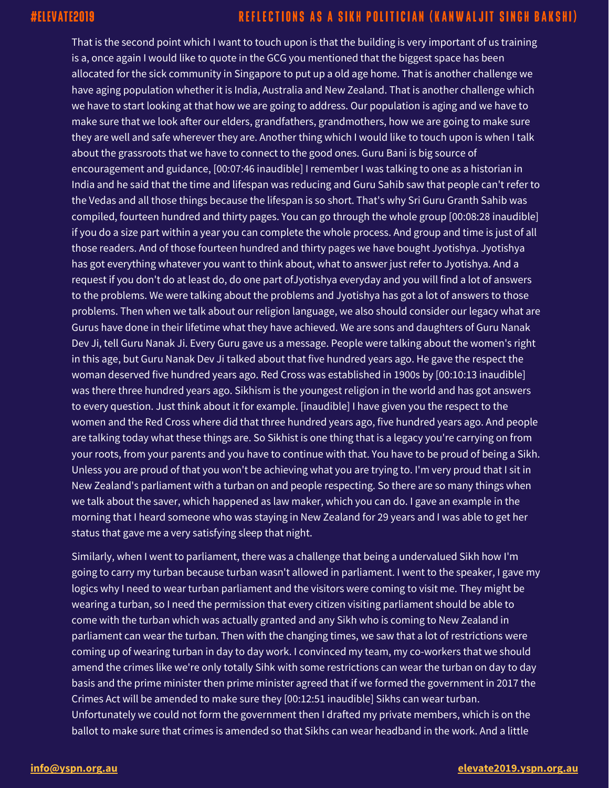That is the second point which I want to touch upon is that the building is very important of us training is a, once again I would like to quote in the GCG you mentioned that the biggest space has been allocated for the sick community in Singapore to put up a old age home. That is another challenge we have aging population whether it is India, Australia and New Zealand. That is another challenge which we have to start looking at that how we are going to address. Our population is aging and we have to make sure that we look after our elders, grandfathers, grandmothers, how we are going to make sure they are well and safe wherever they are. Another thing which I would like to touch upon is when I talk about the grassroots that we have to connect to the good ones. Guru Bani is big source of encouragement and guidance, [00:07:46 inaudible] I remember I was talking to one as a historian in India and he said that the time and lifespan was reducing and Guru Sahib saw that people can't refer to the Vedas and all those things because the lifespan is so short. That's why Sri Guru Granth Sahib was compiled, fourteen hundred and thirty pages. You can go through the whole group [00:08:28 inaudible] if you do a size part within a year you can complete the whole process. And group and time is just of all those readers. And of those fourteen hundred and thirty pages we have bought Jyotishya. Jyotishya has got everything whatever you want to think about, what to answer just refer to Jyotishya. And a request if you don't do at least do, do one part ofJyotishya everyday and you will find a lot of answers to the problems. We were talking about the problems and Jyotishya has got a lot of answers to those problems. Then when we talk about our religion language, we also should consider our legacy what are Gurus have done in their lifetime what they have achieved. We are sons and daughters of Guru Nanak Dev Ji, tell Guru Nanak Ji. Every Guru gave us a message. People were talking about the women's right in this age, but Guru Nanak Dev Ji talked about that five hundred years ago. He gave the respect the woman deserved five hundred years ago. Red Cross was established in 1900s by [00:10:13 inaudible] was there three hundred years ago. Sikhism is the youngest religion in the world and has got answers to every question. Just think about it for example. [inaudible] I have given you the respect to the women and the Red Cross where did that three hundred years ago, five hundred years ago. And people are talking today what these things are. So Sikhist is one thing that is a legacy you're carrying on from your roots, from your parents and you have to continue with that. You have to be proud of being a Sikh. Unless you are proud of that you won't be achieving what you are trying to. I'm very proud that I sit in New Zealand's parliament with a turban on and people respecting. So there are so many things when we talk about the saver, which happened as law maker, which you can do. I gave an example in the morning that I heard someone who was staying in New Zealand for 29 years and I was able to get her status that gave me a very satisfying sleep that night.

Similarly, when I went to parliament, there was a challenge that being a undervalued Sikh how I'm going to carry my turban because turban wasn't allowed in parliament. I went to the speaker, I gave my logics why I need to wear turban parliament and the visitors were coming to visit me. They might be wearing a turban, so I need the permission that every citizen visiting parliament should be able to come with the turban which was actually granted and any Sikh who is coming to New Zealand in parliament can wear the turban. Then with the changing times, we saw that a lot of restrictions were coming up of wearing turban in day to day work. I convinced my team, my co-workers that we should amend the crimes like we're only totally Sihk with some restrictions can wear the turban on day to day basis and the prime minister then prime minister agreed that if we formed the government in 2017 the Crimes Act will be amended to make sure they [00:12:51 inaudible] Sikhs can wear turban. Unfortunately we could not form the government then I drafted my private members, which is on the ballot to make sure that crimes is amended so that Sikhs can wear headband in the work. And a little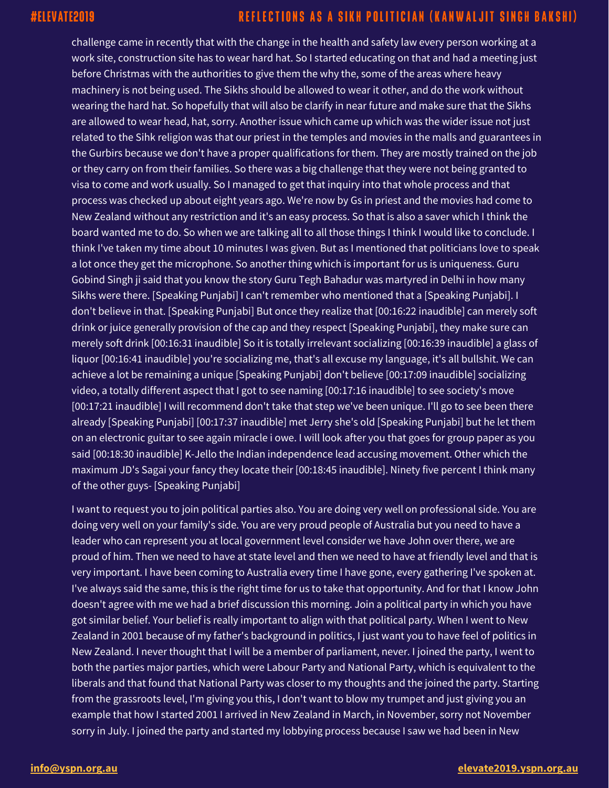challenge came in recently that with the change in the health and safety law every person working at a work site, construction site has to wear hard hat. So I started educating on that and had a meeting just before Christmas with the authorities to give them the why the, some of the areas where heavy machinery is not being used. The Sikhs should be allowed to wear it other, and do the work without wearing the hard hat. So hopefully that will also be clarify in near future and make sure that the Sikhs are allowed to wear head, hat, sorry. Another issue which came up which was the wider issue not just related to the Sihk religion was that our priest in the temples and movies in the malls and guarantees in the Gurbirs because we don't have a proper qualifications for them. They are mostly trained on the job or they carry on from their families. So there was a big challenge that they were not being granted to visa to come and work usually. So I managed to get that inquiry into that whole process and that process was checked up about eight years ago. We're now by Gs in priest and the movies had come to New Zealand without any restriction and it's an easy process. So that is also a saver which I think the board wanted me to do. So when we are talking all to all those things I think I would like to conclude. I think I've taken my time about 10 minutes I was given. But as I mentioned that politicians love to speak a lot once they get the microphone. So another thing which is important for us is uniqueness. Guru Gobind Singh ji said that you know the story Guru Tegh Bahadur was martyred in Delhi in how many Sikhs were there. [Speaking Punjabi] I can't remember who mentioned that a [Speaking Punjabi]. I don't believe in that. [Speaking Punjabi] But once they realize that [00:16:22 inaudible] can merely soft drink or juice generally provision of the cap and they respect [Speaking Punjabi], they make sure can merely soft drink [00:16:31 inaudible] So it is totally irrelevant socializing [00:16:39 inaudible] a glass of liquor [00:16:41 inaudible] you're socializing me, that's all excuse my language, it's all bullshit. We can achieve a lot be remaining a unique [Speaking Punjabi] don't believe [00:17:09 inaudible] socializing video, a totally different aspect that I got to see naming  $[00:17:16$  inaudible] to see society's move [00:17:21 inaudible] I will recommend don't take that step we've been unique. I'll go to see been there already [Speaking Punjabi] [00:17:37 inaudible] met Jerry she's old [Speaking Punjabi] but he let them on an electronic guitar to see again miracle i owe. I will look after you that goes for group paper as you said [00:18:30 inaudible] K-Jello the Indian independence lead accusing movement. Other which the maximum JD's Sagai your fancy they locate their [00:18:45 inaudible]. Ninety five percent I think many of the other guys- [Speaking Punjabi]

I want to request you to join political parties also. You are doing very well on professional side. You are doing very well on your family's side. You are very proud people of Australia but you need to have a leader who can represent you at local government level consider we have John over there, we are proud of him. Then we need to have at state level and then we need to have at friendly level and that is very important. I have been coming to Australia every time I have gone, every gathering I've spoken at. I've always said the same, this is the right time for us to take that opportunity. And for that I know John doesn't agree with me we had a brief discussion this morning. Join a political party in which you have got similar belief. Your belief is really important to align with that political party. When I went to New Zealand in 2001 because of my father's background in politics, I just want you to have feel of politics in New Zealand. I never thought that I will be a member of parliament, never. I joined the party, I went to both the parties major parties, which were Labour Party and National Party, which is equivalent to the liberals and that found that National Party was closer to my thoughts and the joined the party. Starting from the grassroots level, I'm giving you this, I don't want to blow my trumpet and just giving you an example that how I started 2001 I arrived in New Zealand in March, in November, sorry not November sorry in July. I joined the party and started my lobbying process because I saw we had been in New